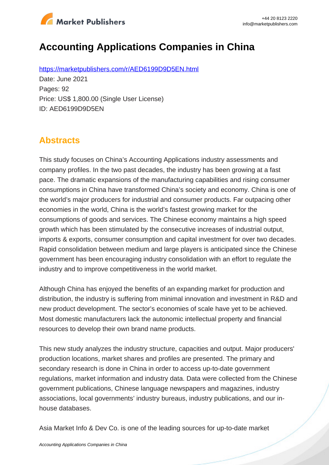

# **Accounting Applications Companies in China**

https://marketpublishers.com/r/AED6199D9D5EN.html Date: June 2021 Pages: 92 Price: US\$ 1,800.00 (Single User License) ID: AED6199D9D5EN

## **Abstracts**

This study focuses on China's Accounting Applications industry assessments and company profiles. In the two past decades, the industry has been growing at a fast pace. The dramatic expansions of the manufacturing capabilities and rising consumer consumptions in China have transformed China's society and economy. China is one of the world's major producers for industrial and consumer products. Far outpacing other economies in the world, China is the world's fastest growing market for the consumptions of goods and services. The Chinese economy maintains a high speed growth which has been stimulated by the consecutive increases of industrial output, imports & exports, consumer consumption and capital investment for over two decades. Rapid consolidation between medium and large players is anticipated since the Chinese government has been encouraging industry consolidation with an effort to regulate the industry and to improve competitiveness in the world market.

Although China has enjoyed the benefits of an expanding market for production and distribution, the industry is suffering from minimal innovation and investment in R&D and new product development. The sector's economies of scale have yet to be achieved. Most domestic manufacturers lack the autonomic intellectual property and financial resources to develop their own brand name products.

This new study analyzes the industry structure, capacities and output. Major producers' production locations, market shares and profiles are presented. The primary and secondary research is done in China in order to access up-to-date government regulations, market information and industry data. Data were collected from the Chinese government publications, Chinese language newspapers and magazines, industry associations, local governments' industry bureaus, industry publications, and our inhouse databases.

Asia Market Info & Dev Co. is one of the leading sources for up-to-date market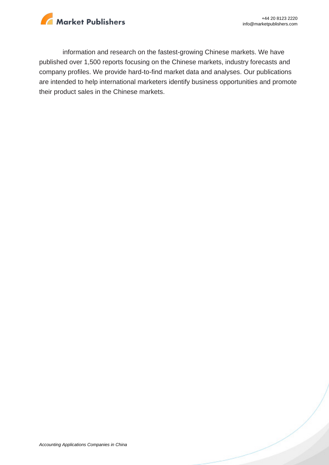

information and research on the fastest-growing Chinese markets. We have published over 1,500 reports focusing on the Chinese markets, industry forecasts and company profiles. We provide hard-to-find market data and analyses. Our publications are intended to help international marketers identify business opportunities and promote their product sales in the Chinese markets.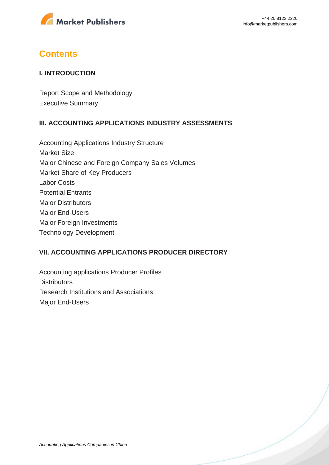

### **Contents**

### **I. INTRODUCTION**

Report Scope and Methodology Executive Summary

### **III. ACCOUNTING APPLICATIONS INDUSTRY ASSESSMENTS**

Accounting Applications Industry Structure Market Size Major Chinese and Foreign Company Sales Volumes Market Share of Key Producers Labor Costs Potential Entrants Major Distributors Major End-Users Major Foreign Investments Technology Development

### **VII. ACCOUNTING APPLICATIONS PRODUCER DIRECTORY**

Accounting applications Producer Profiles **Distributors** Research Institutions and Associations Major End-Users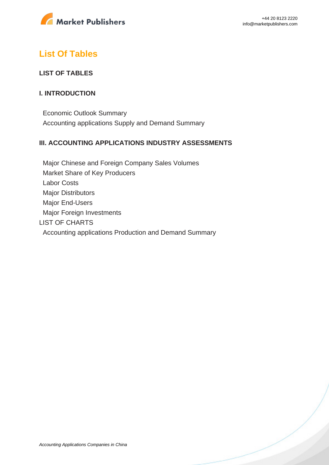

### **List Of Tables**

### **LIST OF TABLES**

### **I. INTRODUCTION**

 Economic Outlook Summary Accounting applications Supply and Demand Summary

### **III. ACCOUNTING APPLICATIONS INDUSTRY ASSESSMENTS**

 Major Chinese and Foreign Company Sales Volumes Market Share of Key Producers Labor Costs Major Distributors Major End-Users Major Foreign Investments LIST OF CHARTS Accounting applications Production and Demand Summary